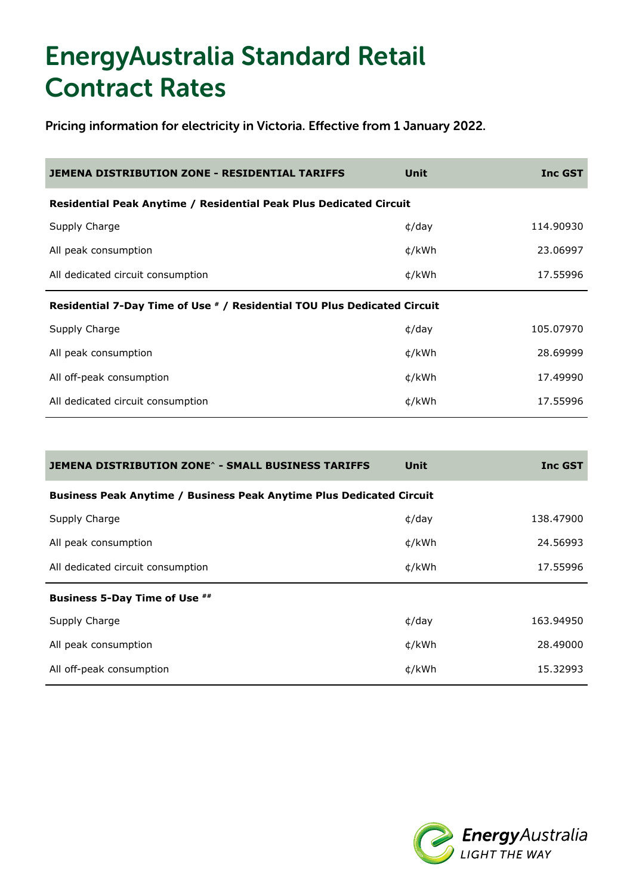| <b>JEMENA DISTRIBUTION ZONE - RESIDENTIAL TARIFFS</b>                    | Unit          | <b>Inc GST</b> |
|--------------------------------------------------------------------------|---------------|----------------|
| Residential Peak Anytime / Residential Peak Plus Dedicated Circuit       |               |                |
| Supply Charge                                                            | $\phi$ /day   | 114.90930      |
| All peak consumption                                                     | ¢/kWh         | 23.06997       |
| All dedicated circuit consumption                                        | ¢/kWh         | 17.55996       |
| Residential 7-Day Time of Use # / Residential TOU Plus Dedicated Circuit |               |                |
|                                                                          |               |                |
| Supply Charge                                                            | $\frac{d}{d}$ | 105.07970      |
| All peak consumption                                                     | ¢/kWh         | 28.69999       |
| All off-peak consumption                                                 | ¢/kWh         | 17.49990       |

| JEMENA DISTRIBUTION ZONE^ - SMALL BUSINESS TARIFFS                          | Unit           | <b>Inc GST</b> |
|-----------------------------------------------------------------------------|----------------|----------------|
| <b>Business Peak Anytime / Business Peak Anytime Plus Dedicated Circuit</b> |                |                |
| Supply Charge                                                               | $\phi$ /day    | 138,47900      |
| All peak consumption                                                        | ¢/kWh          | 24.56993       |
| All dedicated circuit consumption                                           | ¢/kWh          | 17.55996       |
| <b>Business 5-Day Time of Use ##</b>                                        |                |                |
| Supply Charge                                                               | $\frac{d}{dx}$ | 163.94950      |
| All peak consumption                                                        | ¢/kWh          | 28.49000       |
| All off-peak consumption                                                    | ¢/kWh          | 15.32993       |

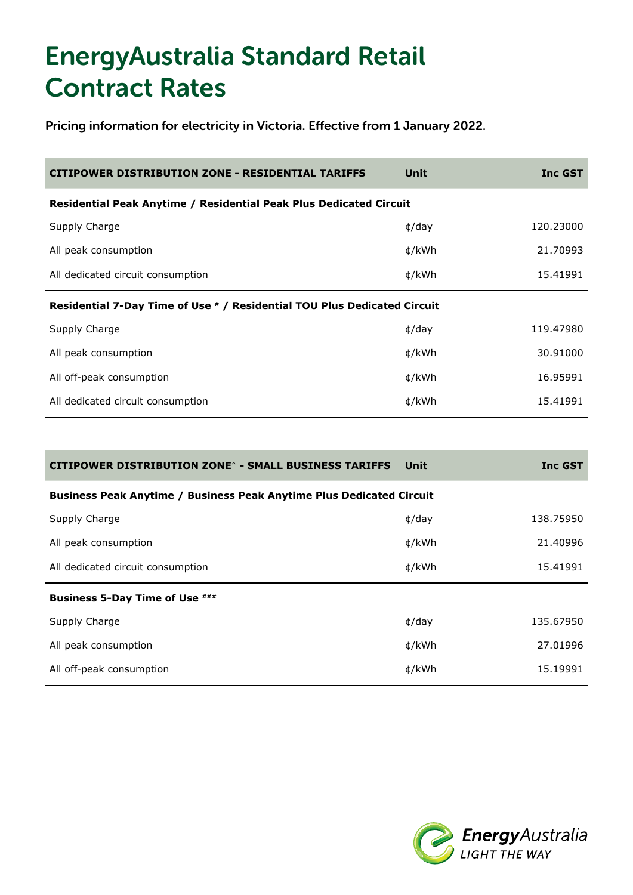| Unit                                                                     | <b>Inc GST</b>                                                     |  |
|--------------------------------------------------------------------------|--------------------------------------------------------------------|--|
|                                                                          |                                                                    |  |
| $\phi$ /day                                                              | 120,23000                                                          |  |
| ¢/kWh                                                                    | 21.70993                                                           |  |
| ¢/kWh                                                                    | 15.41991                                                           |  |
| Residential 7-Day Time of Use # / Residential TOU Plus Dedicated Circuit |                                                                    |  |
| $\phi$ /day                                                              | 119,47980                                                          |  |
| ¢/kWh                                                                    | 30.91000                                                           |  |
| ¢/kWh                                                                    | 16.95991                                                           |  |
| ¢/kWh                                                                    | 15.41991                                                           |  |
|                                                                          | Residential Peak Anytime / Residential Peak Plus Dedicated Circuit |  |

| <b>CITIPOWER DISTRIBUTION ZONE^ - SMALL BUSINESS TARIFFS</b>                | Unit           | <b>Inc GST</b> |
|-----------------------------------------------------------------------------|----------------|----------------|
| <b>Business Peak Anytime / Business Peak Anytime Plus Dedicated Circuit</b> |                |                |
| Supply Charge                                                               | $\phi$ /day    | 138.75950      |
| All peak consumption                                                        | ¢/kWh          | 21.40996       |
| All dedicated circuit consumption                                           | ¢/kWh          | 15.41991       |
| <b>Business 5-Day Time of Use ###</b>                                       |                |                |
| Supply Charge                                                               | $\frac{d}{dx}$ | 135.67950      |
| All peak consumption                                                        | ¢/kWh          | 27.01996       |
| All off-peak consumption                                                    | ¢/kWh          | 15.19991       |

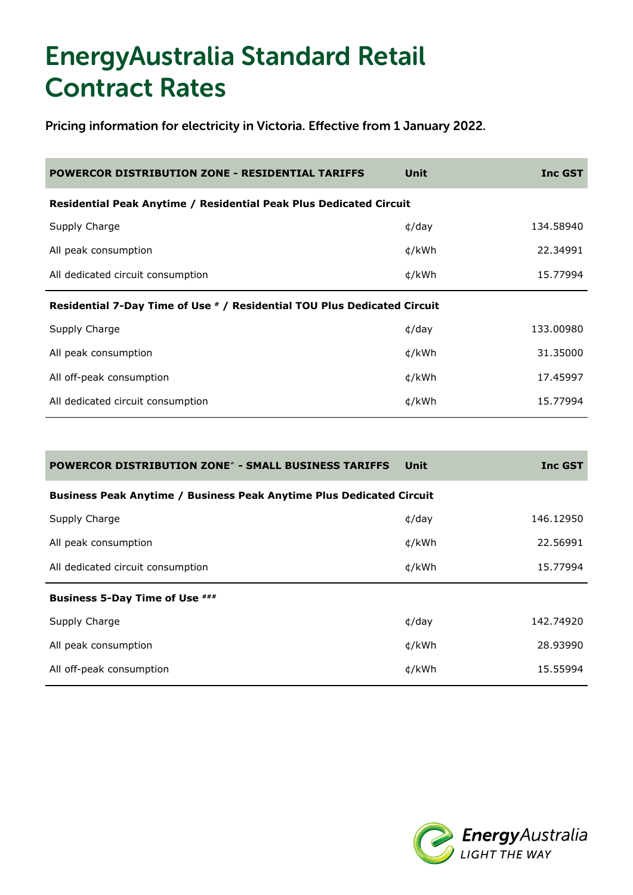| Unit        | <b>Inc GST</b>                                                                                                                                 |
|-------------|------------------------------------------------------------------------------------------------------------------------------------------------|
|             |                                                                                                                                                |
| $\phi$ /day | 134.58940                                                                                                                                      |
| ¢/kWh       | 22.34991                                                                                                                                       |
| ¢/kWh       | 15.77994                                                                                                                                       |
|             |                                                                                                                                                |
| $\phi$ /day | 133,00980                                                                                                                                      |
| ¢/kWh       | 31,35000                                                                                                                                       |
| ¢/kWh       | 17.45997                                                                                                                                       |
| ¢/kWh       | 15.77994                                                                                                                                       |
|             | Residential Peak Anytime / Residential Peak Plus Dedicated Circuit<br>Residential 7-Day Time of Use # / Residential TOU Plus Dedicated Circuit |

| <b>POWERCOR DISTRIBUTION ZONE^ - SMALL BUSINESS TARIFFS</b>                 | Unit           | <b>Inc GST</b> |
|-----------------------------------------------------------------------------|----------------|----------------|
| <b>Business Peak Anytime / Business Peak Anytime Plus Dedicated Circuit</b> |                |                |
| Supply Charge                                                               | $\phi$ /day    | 146.12950      |
| All peak consumption                                                        | ¢/kWh          | 22.56991       |
| All dedicated circuit consumption                                           | ¢/kWh          | 15.77994       |
| <b>Business 5-Day Time of Use ###</b>                                       |                |                |
| Supply Charge                                                               | $\frac{d}{dx}$ | 142.74920      |
| All peak consumption                                                        | ¢/kWh          | 28.93990       |
| All off-peak consumption                                                    | ¢/kWh          | 15.55994       |

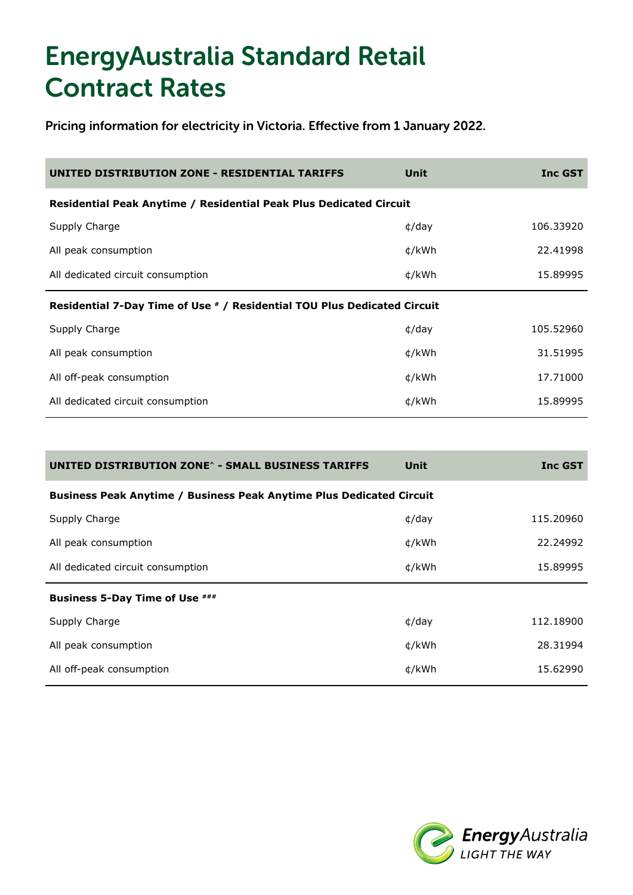| UNITED DISTRIBUTION ZONE - RESIDENTIAL TARIFFS                           | Unit           | <b>Inc GST</b> |
|--------------------------------------------------------------------------|----------------|----------------|
| Residential Peak Anytime / Residential Peak Plus Dedicated Circuit       |                |                |
| Supply Charge                                                            | $\phi$ /day    | 106.33920      |
| All peak consumption                                                     | ¢/kWh          | 22.41998       |
| All dedicated circuit consumption                                        | ¢/kWh          | 15,89995       |
| Residential 7-Day Time of Use # / Residential TOU Plus Dedicated Circuit |                |                |
| Supply Charge                                                            | $\frac{d}{dx}$ | 105.52960      |
| All peak consumption                                                     | ¢/kWh          | 31.51995       |
| All off-peak consumption                                                 | ¢/kWh          | 17.71000       |
| All dedicated circuit consumption                                        | ¢/kWh          | 15,89995       |

| UNITED DISTRIBUTION ZONE^ - SMALL BUSINESS TARIFFS                          | Unit           | <b>Inc GST</b> |
|-----------------------------------------------------------------------------|----------------|----------------|
| <b>Business Peak Anytime / Business Peak Anytime Plus Dedicated Circuit</b> |                |                |
| Supply Charge                                                               | $\phi$ /day    | 115.20960      |
| All peak consumption                                                        | ¢/kWh          | 22.24992       |
| All dedicated circuit consumption                                           | ¢/kWh          | 15.89995       |
| <b>Business 5-Day Time of Use ###</b>                                       |                |                |
| Supply Charge                                                               | $\frac{d}{dx}$ | 112.18900      |
| All peak consumption                                                        | ¢/kWh          | 28.31994       |
| All off-peak consumption                                                    | ¢/kWh          | 15.62990       |

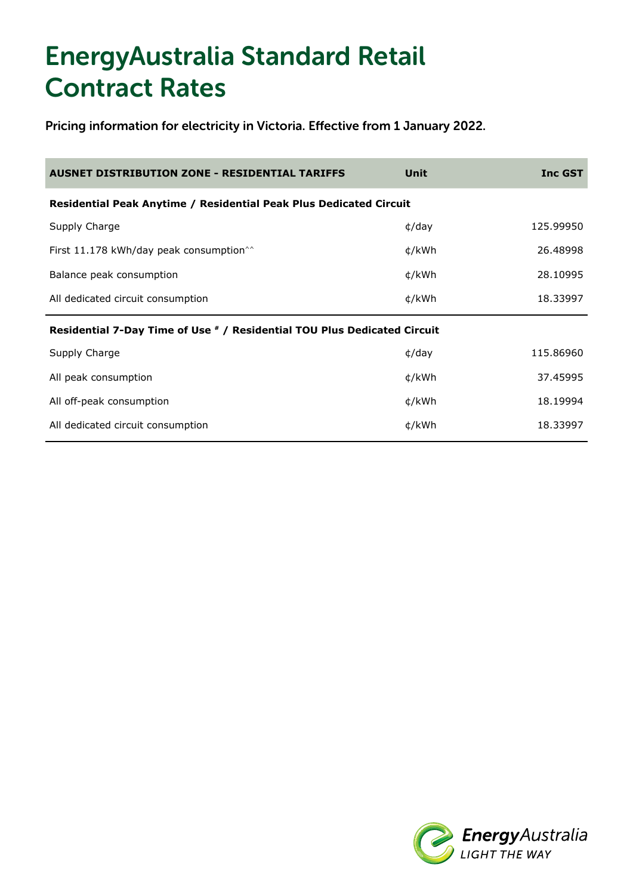| <b>AUSNET DISTRIBUTION ZONE - RESIDENTIAL TARIFFS</b>                    | Unit        | <b>Inc GST</b> |
|--------------------------------------------------------------------------|-------------|----------------|
| Residential Peak Anytime / Residential Peak Plus Dedicated Circuit       |             |                |
| Supply Charge                                                            | $\phi$ /day | 125.99950      |
| First 11.178 kWh/day peak consumption <sup><math>\hat{}</math></sup>     | ¢/kWh       | 26.48998       |
| Balance peak consumption                                                 | ¢/kWh       | 28.10995       |
| All dedicated circuit consumption                                        | ¢/kWh       | 18.33997       |
| Residential 7-Day Time of Use # / Residential TOU Plus Dedicated Circuit |             |                |
| Supply Charge                                                            | $\phi$ /day | 115,86960      |
| All peak consumption                                                     | ¢/kWh       | 37.45995       |
| All off-peak consumption                                                 | ¢/kWh       | 18.19994       |
| All dedicated circuit consumption                                        | ¢/kWh       | 18,33997       |

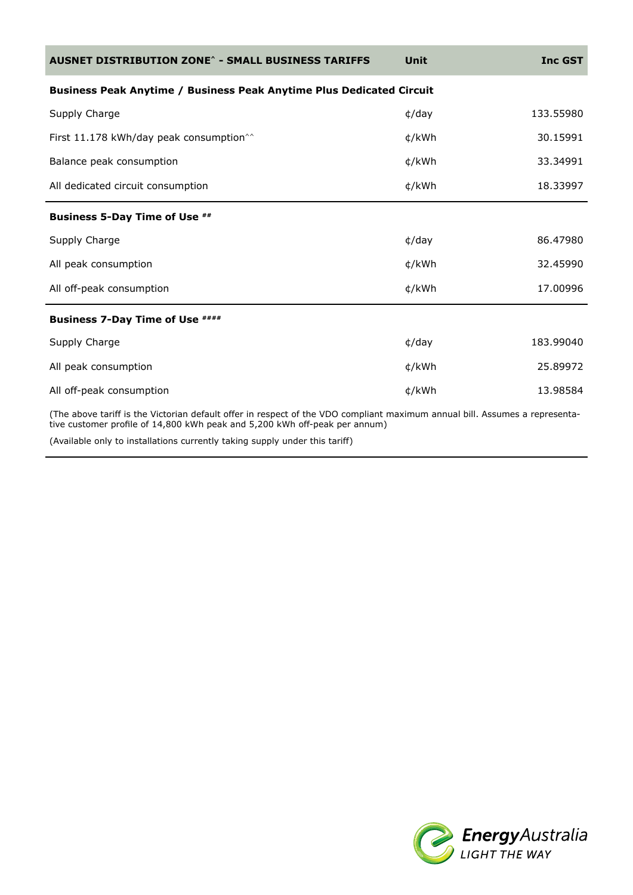| <b>AUSNET DISTRIBUTION ZONE^ - SMALL BUSINESS TARIFFS</b>                                                                  | Unit        | <b>Inc GST</b> |
|----------------------------------------------------------------------------------------------------------------------------|-------------|----------------|
| <b>Business Peak Anytime / Business Peak Anytime Plus Dedicated Circuit</b>                                                |             |                |
| Supply Charge                                                                                                              | $\phi$ /day | 133.55980      |
| First 11.178 kWh/day peak consumption <sup>^^</sup>                                                                        | ¢/kWh       | 30.15991       |
| Balance peak consumption                                                                                                   | ¢/kWh       | 33.34991       |
| All dedicated circuit consumption                                                                                          | ¢/kWh       | 18.33997       |
| Business 5-Day Time of Use ##                                                                                              |             |                |
| Supply Charge                                                                                                              | $\phi$ /day | 86.47980       |
| All peak consumption                                                                                                       | ¢/kWh       | 32.45990       |
| All off-peak consumption                                                                                                   | ¢/kWh       | 17,00996       |
| <b>Business 7-Day Time of Use ####</b>                                                                                     |             |                |
| Supply Charge                                                                                                              | $\phi$ /day | 183.99040      |
| All peak consumption                                                                                                       | ¢/kWh       | 25.89972       |
| All off-peak consumption                                                                                                   | ¢/kWh       | 13,98584       |
| (The above tariff is the Victorian default offer in respect of the VDO compliant maximum annual bill Assumes a representa- |             |                |

ove tariff is the Victorian default offer in respect of the VDO compliant maximum annual bill. Assumes a representa tive customer profile of 14,800 kWh peak and 5,200 kWh off-peak per annum)

(Available only to installations currently taking supply under this tariff)